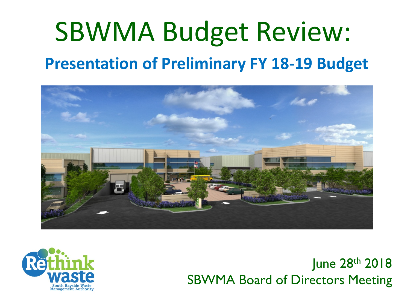# SBWMA Budget Review: **Presentation of Preliminary FY 18-19 Budget**





June 28th 2018 SBWMA Board of Directors Meeting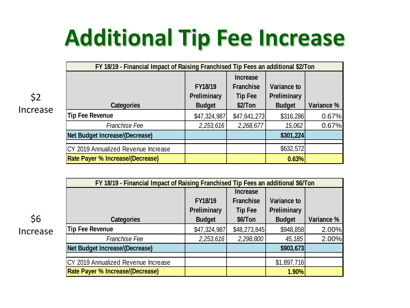# **Additional Tip Fee Increase**

\$2 Increase

| FY 18/19 - Financial Impact of Raising Franchised Tip Fees an additional \$2/Ton |               |                 |               |            |  |  |  |  |  |
|----------------------------------------------------------------------------------|---------------|-----------------|---------------|------------|--|--|--|--|--|
|                                                                                  |               | <b>Increase</b> |               |            |  |  |  |  |  |
|                                                                                  | FY18/19       | Franchise       | Variance to   |            |  |  |  |  |  |
|                                                                                  | Preliminary   | Tip Fee         | Preliminary   |            |  |  |  |  |  |
| Categories                                                                       | <b>Budget</b> | \$2/Ton         | <b>Budget</b> | Variance % |  |  |  |  |  |
| Tip Fee Revenue                                                                  | \$47,324,987  | \$47,641,273    | \$316,286     | 0.67%      |  |  |  |  |  |
| Franchise Fee                                                                    | 2,253,616     | 2,268,677       | 15,062        | 0.67%      |  |  |  |  |  |
| Net Budget Increase/(Decrease)                                                   |               |                 | \$301,224     |            |  |  |  |  |  |
|                                                                                  |               |                 |               |            |  |  |  |  |  |
| CY 2019 Annualized Revenue Increase                                              |               |                 | \$632,572     |            |  |  |  |  |  |
| Rate Payer % Increase/(Decrease)                                                 |               |                 | 0.63%         |            |  |  |  |  |  |
|                                                                                  |               |                 |               |            |  |  |  |  |  |

|          | FY 18/19 - Financial Impact of Raising Franchised Tip Fees an additional \$6/Ton |               |              |               |            |  |  |  |  |  |
|----------|----------------------------------------------------------------------------------|---------------|--------------|---------------|------------|--|--|--|--|--|
|          |                                                                                  |               |              |               |            |  |  |  |  |  |
|          |                                                                                  | FY18/19       | Franchise    | Variance to   |            |  |  |  |  |  |
|          |                                                                                  | Preliminary   | Tip Fee      | Preliminary   |            |  |  |  |  |  |
| \$6      | Categories                                                                       | <b>Budget</b> | \$6/Ton      | <b>Budget</b> | Variance % |  |  |  |  |  |
| Increase | Tip Fee Revenue                                                                  | \$47,324,987  | \$48,273,845 | \$948,858     | 2.00%      |  |  |  |  |  |
|          | Franchise Fee                                                                    | 2,253,616     | 2,298,800    | 45,185        | 2.00%      |  |  |  |  |  |
|          | Net Budget Increase/(Decrease)                                                   |               |              | \$903,673     |            |  |  |  |  |  |
|          |                                                                                  |               |              |               |            |  |  |  |  |  |
|          | CY 2019 Annualized Revenue Increase                                              |               |              | \$1,897,716   |            |  |  |  |  |  |
|          | Rate Payer % Increase/(Decrease)                                                 |               |              | 1.90%         |            |  |  |  |  |  |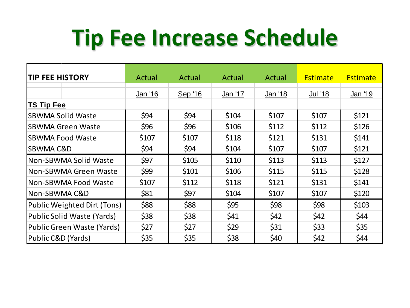# **Tip Fee Increase Schedule**

| <b>TIP FEE HISTORY</b>      | Actual         | Actual  | Actual         | Actual         | <b>Estimate</b> | <b>Estimate</b> |
|-----------------------------|----------------|---------|----------------|----------------|-----------------|-----------------|
|                             | <u>Jan '16</u> | Sep '16 | <u>Jan '17</u> | <u>Jan '18</u> | <u>Jul '18</u>  | <u>Jan '19</u>  |
| <b>TS Tip Fee</b>           |                |         |                |                |                 |                 |
| <b>SBWMA Solid Waste</b>    | \$94           | \$94    | \$104          | \$107          | \$107           | \$121           |
| <b>SBWMA Green Waste</b>    | \$96           | \$96    | \$106          | \$112          | \$112           | \$126           |
| <b>SBWMA Food Waste</b>     | \$107          | \$107   | \$118          | \$121          |                 | \$141           |
| <b>SBWMA C&amp;D</b>        | \$94           | \$94    | \$104          | \$107          | \$107           | \$121           |
| Non-SBWMA Solid Waste       | \$97           | \$105   | \$110          | \$113          | \$113           | \$127           |
| Non-SBWMA Green Waste       | \$99           | \$101   | \$106          | \$115          | \$115           | \$128           |
| Non-SBWMA Food Waste        | \$107          | \$112   | \$118          | \$121          | \$131           | \$141           |
| Non-SBWMA C&D               | \$81           | \$97    | \$104          | \$107          | \$107           | \$120           |
| Public Weighted Dirt (Tons) | \$88           | \$88    | \$95           | \$98           | \$98            | \$103           |
| Public Solid Waste (Yards)  | \$38           | \$38    | \$41           | \$42           | \$42            | \$44            |
| Public Green Waste (Yards)  | \$27           | \$27    | \$29           | \$31           | \$33            | \$35            |
| Public C&D (Yards)          | \$35           | \$35    | \$38           | \$40           | \$42            | \$44            |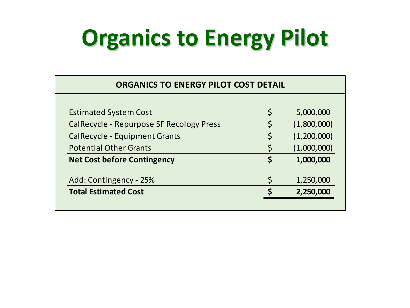# **Organics to Energy Pilot**

| <b>ORGANICS TO ENERGY PILOT COST DETAIL</b>     |         |             |  |  |  |  |  |  |  |
|-------------------------------------------------|---------|-------------|--|--|--|--|--|--|--|
|                                                 |         |             |  |  |  |  |  |  |  |
| <b>Estimated System Cost</b>                    | \$      | 5,000,000   |  |  |  |  |  |  |  |
| <b>CalRecycle - Repurpose SF Recology Press</b> | \$      | (1,800,000) |  |  |  |  |  |  |  |
| <b>CalRecycle - Equipment Grants</b>            |         | (1,200,000) |  |  |  |  |  |  |  |
| <b>Potential Other Grants</b>                   | $\zeta$ | (1,000,000) |  |  |  |  |  |  |  |
| <b>Net Cost before Contingency</b>              | \$      | 1,000,000   |  |  |  |  |  |  |  |
| Add: Contingency - 25%                          | Ś       | 1,250,000   |  |  |  |  |  |  |  |
| <b>Total Estimated Cost</b>                     |         | 2,250,000   |  |  |  |  |  |  |  |
|                                                 |         |             |  |  |  |  |  |  |  |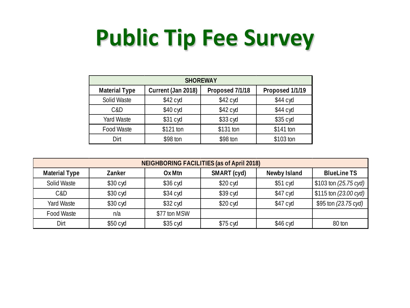# **Public Tip Fee Survey**

| <b>SHOREWAY</b>      |                    |                 |                 |  |  |  |  |  |  |
|----------------------|--------------------|-----------------|-----------------|--|--|--|--|--|--|
| <b>Material Type</b> | Current (Jan 2018) | Proposed 7/1/18 | Proposed 1/1/19 |  |  |  |  |  |  |
| Solid Waste          | $$42$ cyd          | $$42$ cyd       | $$44$ cyd       |  |  |  |  |  |  |
| C&D                  | $$40$ cyd          | $$42$ cyd       | $$44$ cyd       |  |  |  |  |  |  |
| Yard Waste           | $$31$ cyd          | \$33 cyd        | $$35$ cyd       |  |  |  |  |  |  |
| Food Waste           | \$121 ton          | \$131 ton       | \$141 ton       |  |  |  |  |  |  |
| Dirt                 | \$98 ton           | \$98 ton        | \$103 ton       |  |  |  |  |  |  |

| NEIGHBORING FACILITIES (as of April 2018) |                    |              |           |           |                       |  |  |  |  |
|-------------------------------------------|--------------------|--------------|-----------|-----------|-----------------------|--|--|--|--|
| <b>Material Type</b>                      | <b>BlueLine TS</b> |              |           |           |                       |  |  |  |  |
| Solid Waste                               | \$30 cyd           | $$36$ cyd    | $$20$ cyd | $$51$ cyd | \$103 ton (25.75 cyd) |  |  |  |  |
| C&D                                       | $$30$ cyd          | $$34$ cyd    | $$39$ cyd | $$47$ cyd | \$115 ton (23.00 cyd) |  |  |  |  |
| Yard Waste                                | \$30 cyd           | \$32 cyd     | $$20$ cyd | $$47$ cyd | \$95 ton (23.75 cyd)  |  |  |  |  |
| Food Waste                                | n/a                | \$77 ton MSW |           |           |                       |  |  |  |  |
| Dirt                                      | $$50$ cyd          | $$35$ cyd    | $$75$ cyd | $$46$ cyd | 80 ton                |  |  |  |  |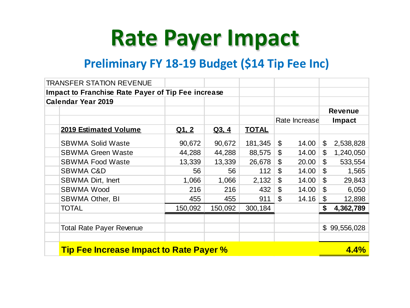## **Rate Payer Impact**

#### **Preliminary FY 18-19 Budget (\$14 Tip Fee Inc)**

| <b>TRANSFER STATION REVENUE</b>                    |              |         |              |                           |               |                           |              |  |
|----------------------------------------------------|--------------|---------|--------------|---------------------------|---------------|---------------------------|--------------|--|
| Impact to Franchise Rate Payer of Tip Fee increase |              |         |              |                           |               |                           |              |  |
| <b>Calendar Year 2019</b>                          |              |         |              |                           |               |                           |              |  |
|                                                    |              |         |              |                           |               | <b>Revenue</b>            |              |  |
|                                                    |              |         |              |                           | Rate Increase |                           | Impact       |  |
| <b>2019 Estimated Volume</b>                       | <u>Q1, 2</u> | Q3, 4   | <b>TOTAL</b> |                           |               |                           |              |  |
| <b>SBWMA Solid Waste</b>                           | 90,672       | 90,672  | 181,345      | \$                        | 14.00         | \$                        | 2,538,828    |  |
| <b>SBWMA Green Waste</b>                           | 44,288       | 44,288  | 88,575       | \$                        | 14.00         | \$                        | 1,240,050    |  |
| <b>SBWMA Food Waste</b>                            | 13,339       | 13,339  | 26,678       | $\boldsymbol{\mathsf{S}}$ | 20.00         | $\boldsymbol{\mathsf{S}}$ | 533,554      |  |
| <b>SBWMA C&amp;D</b>                               | 56           | 56      | 112          | \$                        | 14.00         | \$                        | 1,565        |  |
| <b>SBWMA Dirt, Inert</b>                           | 1,066        | 1,066   | 2,132        | $\boldsymbol{\mathsf{S}}$ | 14.00         | \$                        | 29,843       |  |
| <b>SBWMA Wood</b>                                  | 216          | 216     | 432          | \$                        | 14.00         | \$                        | 6,050        |  |
| <b>SBWMA Other, BI</b>                             | 455          | 455     | 911          | $\mathfrak{S}$            | 14.16         | \$                        | 12,898       |  |
| <b>TOTAL</b>                                       | 150,092      | 150,092 | 300,184      |                           |               | \$                        | 4,362,789    |  |
|                                                    |              |         |              |                           |               |                           |              |  |
| <b>Total Rate Payer Revenue</b>                    |              |         |              |                           |               |                           | \$99,556,028 |  |
|                                                    |              |         |              |                           |               |                           |              |  |
| <b>Tip Fee Increase Impact to Rate Payer %</b>     |              |         |              |                           |               |                           |              |  |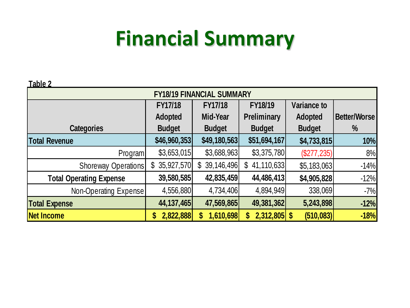### **Financial Summary**

**Table 2**

| <u>Table Z</u>                   |               |                |                      |               |              |  |  |  |  |
|----------------------------------|---------------|----------------|----------------------|---------------|--------------|--|--|--|--|
| <b>FY18/19 FINANCIAL SUMMARY</b> |               |                |                      |               |              |  |  |  |  |
|                                  | FY17/18       | FY17/18        | FY18/19              | Variance to   |              |  |  |  |  |
|                                  | Adopted       | Mid-Year       | Preliminary          | Adopted       | Better/Worse |  |  |  |  |
| Categories                       | <b>Budget</b> | <b>Budget</b>  | <b>Budget</b>        | <b>Budget</b> | %            |  |  |  |  |
| <b>Total Revenue</b>             | \$46,960,353] | \$49,180,563   | \$51,694,167         | \$4,733,815   | 10%          |  |  |  |  |
| Program                          | \$3,653,015   | \$3,688,963    | \$3,375,780          | (\$277, 235)  | 8%           |  |  |  |  |
| Shoreway Operations              | \$35,927,570  | \$39,146,496]  | 41,110,633<br>\$     | \$5,183,063   | $-14%$       |  |  |  |  |
| <b>Total Operating Expense</b>   | 39,580,585    | 42,835,459     | 44,486,413           | \$4,905,828   | $-12%$       |  |  |  |  |
| Non-Operating Expense            | 4,556,880     | 4,734,406      | 4,894,949            | 338,069       | $-7%$        |  |  |  |  |
| <b>Total Expense</b>             | 44,137,465    | 47,569,865     | 49,381,362           | 5,243,898     | $-12%$       |  |  |  |  |
| <b>Net Income</b>                | 2,822,888     | 1,610,698<br>S | $2,312,805$ \$<br>\$ | (510, 083)    | $-18%$       |  |  |  |  |